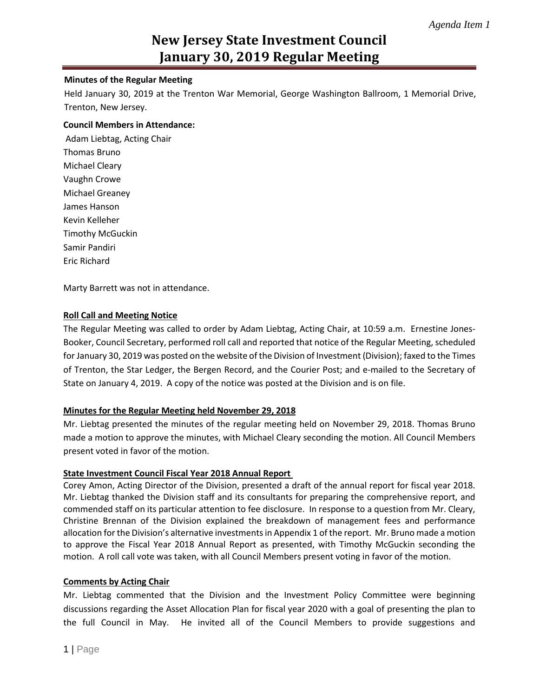#### **Minutes of the Regular Meeting**

Held January 30, 2019 at the Trenton War Memorial, George Washington Ballroom, 1 Memorial Drive, Trenton, New Jersey.

#### **Council Members in Attendance:**

Adam Liebtag, Acting Chair Thomas Bruno Michael Cleary Vaughn Crowe Michael Greaney James Hanson Kevin Kelleher Timothy McGuckin Samir Pandiri Eric Richard

Marty Barrett was not in attendance.

#### **Roll Call and Meeting Notice**

The Regular Meeting was called to order by Adam Liebtag, Acting Chair, at 10:59 a.m. Ernestine Jones-Booker, Council Secretary, performed roll call and reported that notice of the Regular Meeting, scheduled for January 30, 2019 was posted on the website of the Division of Investment (Division); faxed to the Times of Trenton, the Star Ledger, the Bergen Record, and the Courier Post; and e-mailed to the Secretary of State on January 4, 2019. A copy of the notice was posted at the Division and is on file.

# **Minutes for the Regular Meeting held November 29, 2018**

Mr. Liebtag presented the minutes of the regular meeting held on November 29, 2018. Thomas Bruno made a motion to approve the minutes, with Michael Cleary seconding the motion. All Council Members present voted in favor of the motion.

#### **State Investment Council Fiscal Year 2018 Annual Report**

Corey Amon, Acting Director of the Division, presented a draft of the annual report for fiscal year 2018. Mr. Liebtag thanked the Division staff and its consultants for preparing the comprehensive report, and commended staff on its particular attention to fee disclosure. In response to a question from Mr. Cleary, Christine Brennan of the Division explained the breakdown of management fees and performance allocation for the Division's alternative investments in Appendix 1 of the report. Mr. Bruno made a motion to approve the Fiscal Year 2018 Annual Report as presented, with Timothy McGuckin seconding the motion. A roll call vote was taken, with all Council Members present voting in favor of the motion.

#### **Comments by Acting Chair**

Mr. Liebtag commented that the Division and the Investment Policy Committee were beginning discussions regarding the Asset Allocation Plan for fiscal year 2020 with a goal of presenting the plan to the full Council in May. He invited all of the Council Members to provide suggestions and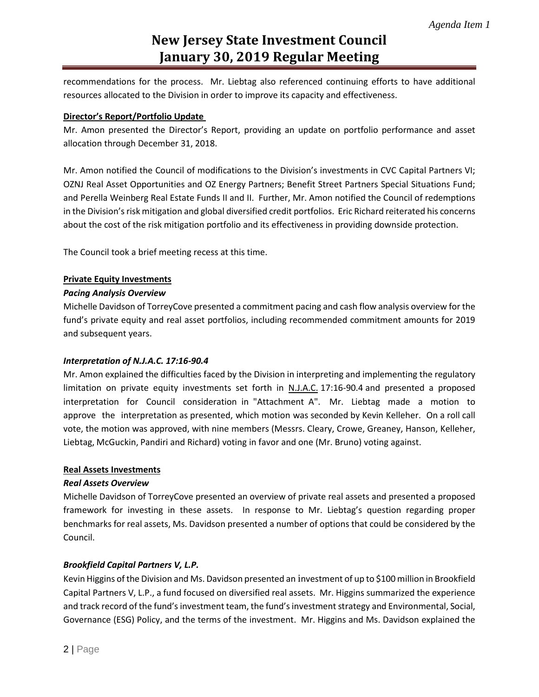recommendations for the process. Mr. Liebtag also referenced continuing efforts to have additional resources allocated to the Division in order to improve its capacity and effectiveness.

#### **Director's Report/Portfolio Update**

Mr. Amon presented the Director's Report, providing an update on portfolio performance and asset allocation through December 31, 2018.

Mr. Amon notified the Council of modifications to the Division's investments in CVC Capital Partners VI; OZNJ Real Asset Opportunities and OZ Energy Partners; Benefit Street Partners Special Situations Fund; and Perella Weinberg Real Estate Funds II and II. Further, Mr. Amon notified the Council of redemptions in the Division's risk mitigation and global diversified credit portfolios. Eric Richard reiterated his concerns about the cost of the risk mitigation portfolio and its effectiveness in providing downside protection.

The Council took a brief meeting recess at this time.

#### **Private Equity Investments**

#### *Pacing Analysis Overview*

Michelle Davidson of TorreyCove presented a commitment pacing and cash flow analysis overview for the fund's private equity and real asset portfolios, including recommended commitment amounts for 2019 and subsequent years.

# *Interpretation of N.J.A.C. 17:16-90.4*

Mr. Amon explained the difficulties faced by the Division in interpreting and implementing the regulatory limitation on private equity investments set forth in N.J.A.C. 17:16-90.4 and presented a proposed interpretation for Council consideration in "Attachment A". Mr. Liebtag made a motion to approve the interpretation as presented, which motion was seconded by Kevin Kelleher. On a roll call vote, the motion was approved, with nine members (Messrs. Cleary, Crowe, Greaney, Hanson, Kelleher, Liebtag, McGuckin, Pandiri and Richard) voting in favor and one (Mr. Bruno) voting against.

#### **Real Assets Investments**

#### *Real Assets Overview*

Michelle Davidson of TorreyCove presented an overview of private real assets and presented a proposed framework for investing in these assets. In response to Mr. Liebtag's question regarding proper benchmarks for real assets, Ms. Davidson presented a number of options that could be considered by the Council.

# *Brookfield Capital Partners V, L.P.*

Kevin Higgins of the Division and Ms. Davidson presented an investment of up to \$100 million in Brookfield Capital Partners V, L.P., a fund focused on diversified real assets. Mr. Higgins summarized the experience and track record of the fund's investment team, the fund's investment strategy and Environmental, Social, Governance (ESG) Policy, and the terms of the investment. Mr. Higgins and Ms. Davidson explained the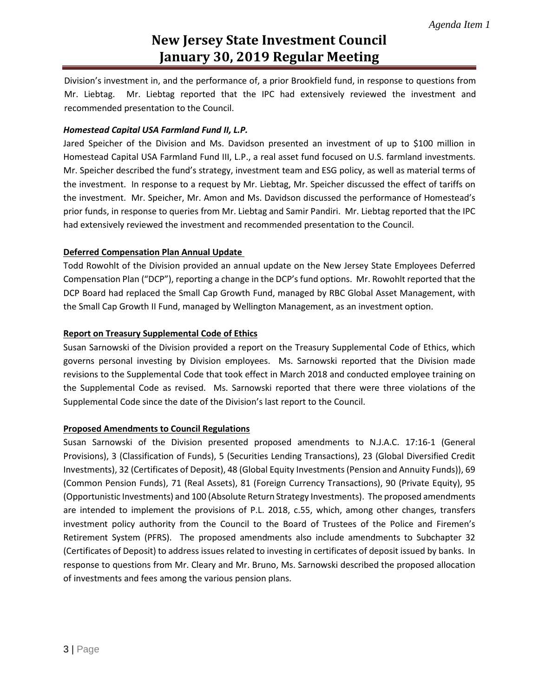Division's investment in, and the performance of, a prior Brookfield fund, in response to questions from Mr. Liebtag. Mr. Liebtag reported that the IPC had extensively reviewed the investment and recommended presentation to the Council.

# *Homestead Capital USA Farmland Fund II, L.P.*

Jared Speicher of the Division and Ms. Davidson presented an investment of up to \$100 million in Homestead Capital USA Farmland Fund III, L.P., a real asset fund focused on U.S. farmland investments. Mr. Speicher described the fund's strategy, investment team and ESG policy, as well as material terms of the investment. In response to a request by Mr. Liebtag, Mr. Speicher discussed the effect of tariffs on the investment. Mr. Speicher, Mr. Amon and Ms. Davidson discussed the performance of Homestead's prior funds, in response to queries from Mr. Liebtag and Samir Pandiri. Mr. Liebtag reported that the IPC had extensively reviewed the investment and recommended presentation to the Council.

# **Deferred Compensation Plan Annual Update**

Todd Rowohlt of the Division provided an annual update on the New Jersey State Employees Deferred Compensation Plan ("DCP"), reporting a change in the DCP's fund options. Mr. Rowohlt reported that the DCP Board had replaced the Small Cap Growth Fund, managed by RBC Global Asset Management, with the Small Cap Growth II Fund, managed by Wellington Management, as an investment option.

# **Report on Treasury Supplemental Code of Ethics**

Susan Sarnowski of the Division provided a report on the Treasury Supplemental Code of Ethics, which governs personal investing by Division employees. Ms. Sarnowski reported that the Division made revisions to the Supplemental Code that took effect in March 2018 and conducted employee training on the Supplemental Code as revised. Ms. Sarnowski reported that there were three violations of the Supplemental Code since the date of the Division's last report to the Council.

# **Proposed Amendments to Council Regulations**

Susan Sarnowski of the Division presented proposed amendments to N.J.A.C. 17:16-1 (General Provisions), 3 (Classification of Funds), 5 (Securities Lending Transactions), 23 (Global Diversified Credit Investments), 32 (Certificates of Deposit), 48 (Global Equity Investments (Pension and Annuity Funds)), 69 (Common Pension Funds), 71 (Real Assets), 81 (Foreign Currency Transactions), 90 (Private Equity), 95 (Opportunistic Investments) and 100 (Absolute Return Strategy Investments). The proposed amendments are intended to implement the provisions of P.L. 2018, c.55, which, among other changes, transfers investment policy authority from the Council to the Board of Trustees of the Police and Firemen's Retirement System (PFRS). The proposed amendments also include amendments to Subchapter 32 (Certificates of Deposit) to address issues related to investing in certificates of deposit issued by banks. In response to questions from Mr. Cleary and Mr. Bruno, Ms. Sarnowski described the proposed allocation of investments and fees among the various pension plans.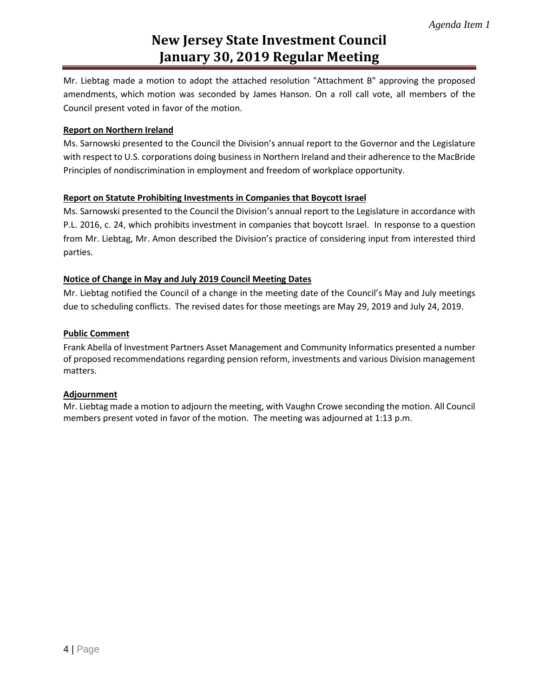Mr. Liebtag made a motion to adopt the attached resolution "Attachment B" approving the proposed amendments, which motion was seconded by James Hanson. On a roll call vote, all members of the Council present voted in favor of the motion.

# **Report on Northern Ireland**

Ms. Sarnowski presented to the Council the Division's annual report to the Governor and the Legislature with respect to U.S. corporations doing business in Northern Ireland and their adherence to the MacBride Principles of nondiscrimination in employment and freedom of workplace opportunity.

# **Report on Statute Prohibiting Investments in Companies that Boycott Israel**

Ms. Sarnowski presented to the Council the Division's annual report to the Legislature in accordance with P.L. 2016, c. 24, which prohibits investment in companies that boycott Israel. In response to a question from Mr. Liebtag, Mr. Amon described the Division's practice of considering input from interested third parties.

# **Notice of Change in May and July 2019 Council Meeting Dates**

Mr. Liebtag notified the Council of a change in the meeting date of the Council's May and July meetings due to scheduling conflicts. The revised dates for those meetings are May 29, 2019 and July 24, 2019.

# **Public Comment**

Frank Abella of Investment Partners Asset Management and Community Informatics presented a number of proposed recommendations regarding pension reform, investments and various Division management matters.

# **Adjournment**

Mr. Liebtag made a motion to adjourn the meeting, with Vaughn Crowe seconding the motion. All Council members present voted in favor of the motion. The meeting was adjourned at 1:13 p.m.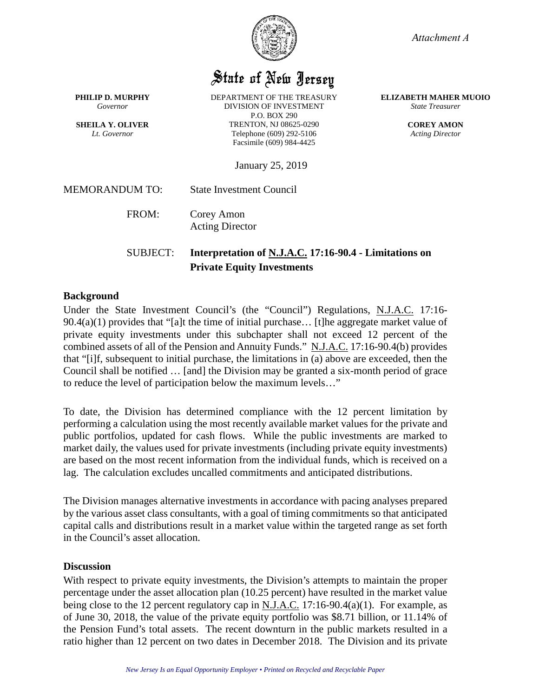

*Attachment A*

**ELIZABETH MAHER MUOIO** *State Treasurer*

*Acting Director*

# State of New Jersey

**PHILIP D. MURPHY** *Governor*

**SHEILA Y. OLIVER** *Lt. Governor*

DEPARTMENT OF THE TREASURY DIVISION OF INVESTMENT P.O. BOX 290 TRENTON, NJ 08625-0290 Telephone (609) 292-5106 Facsimile (609) 984-4425

**COREY AMON**

January 25, 2019

MEMORANDUM TO: State Investment Council

FROM: Corey Amon

Acting Director

# SUBJECT: **Interpretation of N.J.A.C. 17:16-90.4 - Limitations on Private Equity Investments**

# **Background**

Under the State Investment Council's (the "Council") Regulations, N.J.A.C. 17:16-  $90.4(a)(1)$  provides that "[a]t the time of initial purchase... [t]he aggregate market value of private equity investments under this subchapter shall not exceed 12 percent of the combined assets of all of the Pension and Annuity Funds." N.J.A.C. 17:16-90.4(b) provides that "[i]f, subsequent to initial purchase, the limitations in (a) above are exceeded, then the Council shall be notified … [and] the Division may be granted a six-month period of grace to reduce the level of participation below the maximum levels…"

To date, the Division has determined compliance with the 12 percent limitation by performing a calculation using the most recently available market values for the private and public portfolios, updated for cash flows. While the public investments are marked to market daily, the values used for private investments (including private equity investments) are based on the most recent information from the individual funds, which is received on a lag. The calculation excludes uncalled commitments and anticipated distributions.

The Division manages alternative investments in accordance with pacing analyses prepared by the various asset class consultants, with a goal of timing commitments so that anticipated capital calls and distributions result in a market value within the targeted range as set forth in the Council's asset allocation.

# **Discussion**

With respect to private equity investments, the Division's attempts to maintain the proper percentage under the asset allocation plan (10.25 percent) have resulted in the market value being close to the 12 percent regulatory cap in N.J.A.C. 17:16-90.4(a)(1). For example, as of June 30, 2018, the value of the private equity portfolio was \$8.71 billion, or 11.14% of the Pension Fund's total assets. The recent downturn in the public markets resulted in a ratio higher than 12 percent on two dates in December 2018. The Division and its private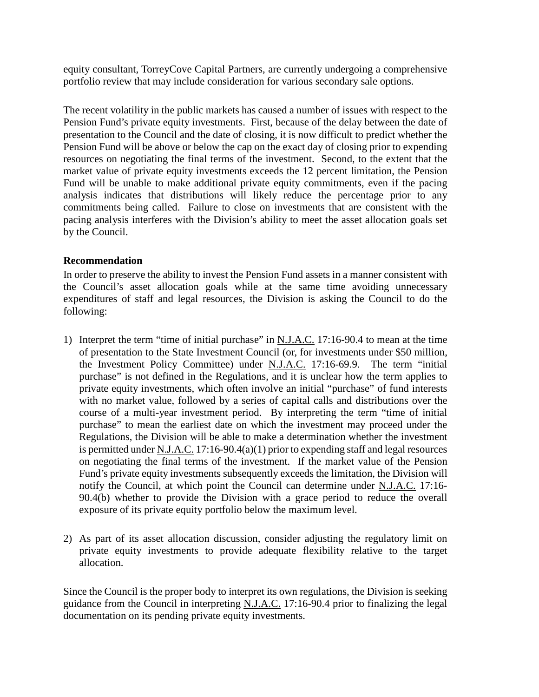equity consultant, TorreyCove Capital Partners, are currently undergoing a comprehensive portfolio review that may include consideration for various secondary sale options.

The recent volatility in the public markets has caused a number of issues with respect to the Pension Fund's private equity investments. First, because of the delay between the date of presentation to the Council and the date of closing, it is now difficult to predict whether the Pension Fund will be above or below the cap on the exact day of closing prior to expending resources on negotiating the final terms of the investment. Second, to the extent that the market value of private equity investments exceeds the 12 percent limitation, the Pension Fund will be unable to make additional private equity commitments, even if the pacing analysis indicates that distributions will likely reduce the percentage prior to any commitments being called. Failure to close on investments that are consistent with the pacing analysis interferes with the Division's ability to meet the asset allocation goals set by the Council.

# **Recommendation**

In order to preserve the ability to invest the Pension Fund assets in a manner consistent with the Council's asset allocation goals while at the same time avoiding unnecessary expenditures of staff and legal resources, the Division is asking the Council to do the following:

- 1) Interpret the term "time of initial purchase" in N.J.A.C. 17:16-90.4 to mean at the time of presentation to the State Investment Council (or, for investments under \$50 million, the Investment Policy Committee) under N.J.A.C. 17:16-69.9. The term "initial purchase" is not defined in the Regulations, and it is unclear how the term applies to private equity investments, which often involve an initial "purchase" of fund interests with no market value, followed by a series of capital calls and distributions over the course of a multi-year investment period. By interpreting the term "time of initial purchase" to mean the earliest date on which the investment may proceed under the Regulations, the Division will be able to make a determination whether the investment is permitted under N.J.A.C. 17:16-90.4(a)(1) prior to expending staff and legal resources on negotiating the final terms of the investment. If the market value of the Pension Fund's private equity investments subsequently exceeds the limitation, the Division will notify the Council, at which point the Council can determine under N.J.A.C. 17:16- 90.4(b) whether to provide the Division with a grace period to reduce the overall exposure of its private equity portfolio below the maximum level.
- 2) As part of its asset allocation discussion, consider adjusting the regulatory limit on private equity investments to provide adequate flexibility relative to the target allocation.

Since the Council is the proper body to interpret its own regulations, the Division is seeking guidance from the Council in interpreting N.J.A.C. 17:16-90.4 prior to finalizing the legal documentation on its pending private equity investments.